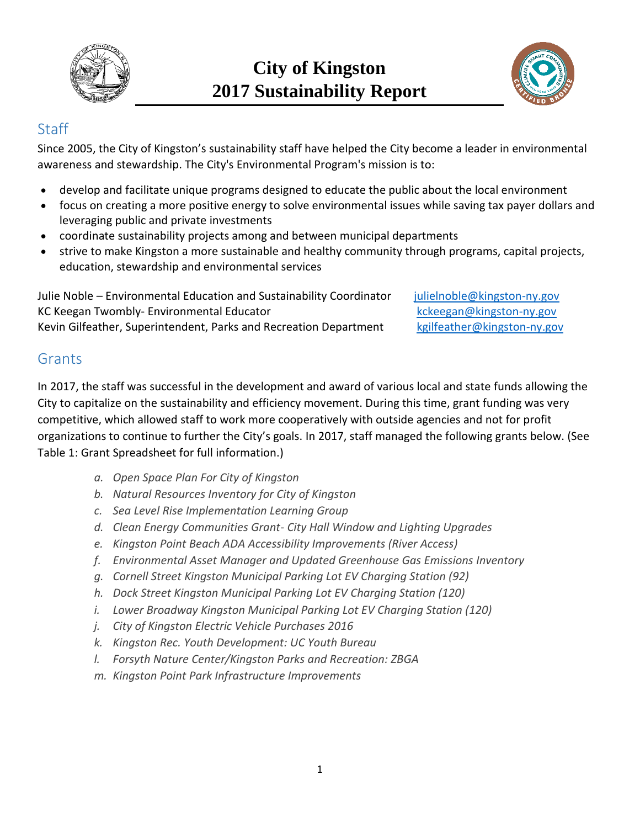



#### **Staff**

Since 2005, the City of Kingston's sustainability staff have helped the City become a leader in environmental awareness and stewardship. The City's Environmental Program's mission is to:

- develop and facilitate unique programs designed to educate the public about the local environment
- focus on creating a more positive energy to solve environmental issues while saving tax payer dollars and leveraging public and private investments
- coordinate sustainability projects among and between municipal departments
- strive to make Kingston a more sustainable and healthy community through programs, capital projects, education, stewardship and environmental services

Julie Noble – Environmental Education and Sustainability Coordinator [julielnoble@kingston-ny.gov](mailto:julielnoble@kingston-ny.gov) KC Keegan Twombly- Environmental Educator environmental Educator environmental extension-ny.gov Kevin Gilfeather, Superintendent, Parks and Recreation Department [kgilfeather@kingston-ny.gov](mailto:kgilfeather@kingston-ny.gov)

### **Grants**

In 2017, the staff was successful in the development and award of various local and state funds allowing the City to capitalize on the sustainability and efficiency movement. During this time, grant funding was very competitive, which allowed staff to work more cooperatively with outside agencies and not for profit organizations to continue to further the City's goals. In 2017, staff managed the following grants below. (See Table 1: Grant Spreadsheet for full information.)

- *a. Open Space Plan For City of Kingston*
- *b. Natural Resources Inventory for City of Kingston*
- *c. Sea Level Rise Implementation Learning Group*
- *d. Clean Energy Communities Grant- City Hall Window and Lighting Upgrades*
- *e. Kingston Point Beach ADA Accessibility Improvements (River Access)*
- *f. Environmental Asset Manager and Updated Greenhouse Gas Emissions Inventory*
- *g. Cornell Street Kingston Municipal Parking Lot EV Charging Station (92)*
- *h. Dock Street Kingston Municipal Parking Lot EV Charging Station (120)*
- *i. Lower Broadway Kingston Municipal Parking Lot EV Charging Station (120)*
- *j. City of Kingston Electric Vehicle Purchases 2016*
- *k. Kingston Rec. Youth Development: UC Youth Bureau*
- *l. Forsyth Nature Center/Kingston Parks and Recreation: ZBGA*
- *m. Kingston Point Park Infrastructure Improvements*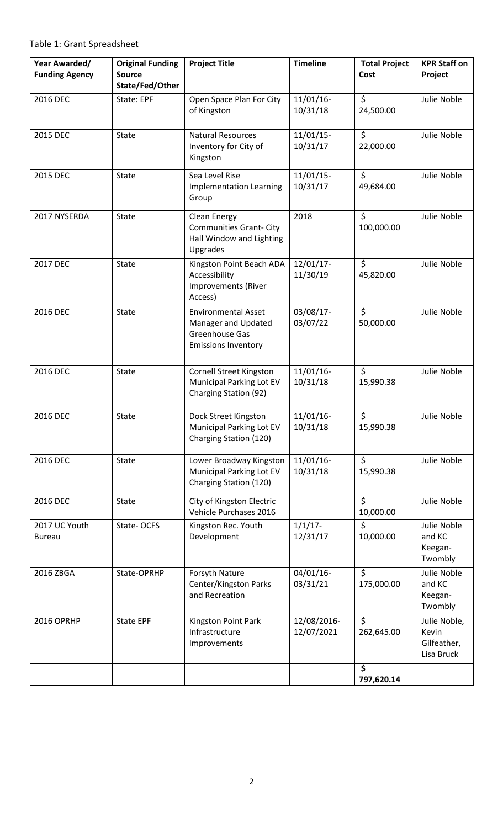#### Table 1: Grant Spreadsheet

| Year Awarded/<br><b>Funding Agency</b> | <b>Original Funding</b><br><b>Source</b><br>State/Fed/Other | <b>Project Title</b>                                                                              | <b>Timeline</b>           | <b>Total Project</b><br>Cost          | <b>KPR Staff on</b><br>Project                     |
|----------------------------------------|-------------------------------------------------------------|---------------------------------------------------------------------------------------------------|---------------------------|---------------------------------------|----------------------------------------------------|
| 2016 DEC                               | State: EPF                                                  | Open Space Plan For City<br>of Kingston                                                           | $11/01/16$ -<br>10/31/18  | $\zeta$<br>24,500.00                  | Julie Noble                                        |
| 2015 DEC                               | State                                                       | <b>Natural Resources</b><br>Inventory for City of<br>Kingston                                     | $11/01/15$ -<br>10/31/17  | \$<br>22,000.00                       | Julie Noble                                        |
| 2015 DEC                               | State                                                       | Sea Level Rise<br><b>Implementation Learning</b><br>Group                                         | $11/01/15$ -<br>10/31/17  | \$<br>49,684.00                       | Julie Noble                                        |
| 2017 NYSERDA                           | State                                                       | Clean Energy<br><b>Communities Grant-City</b><br>Hall Window and Lighting<br>Upgrades             | 2018                      | $\overline{\mathsf{S}}$<br>100,000.00 | Julie Noble                                        |
| 2017 DEC                               | State                                                       | Kingston Point Beach ADA<br>Accessibility<br>Improvements (River<br>Access)                       | $12/01/17$ -<br>11/30/19  | $\zeta$<br>45,820.00                  | Julie Noble                                        |
| 2016 DEC                               | State                                                       | <b>Environmental Asset</b><br>Manager and Updated<br>Greenhouse Gas<br><b>Emissions Inventory</b> | 03/08/17-<br>03/07/22     | \$<br>50,000.00                       | Julie Noble                                        |
| 2016 DEC                               | State                                                       | <b>Cornell Street Kingston</b><br>Municipal Parking Lot EV<br>Charging Station (92)               | $11/01/16$ -<br>10/31/18  | $\zeta$<br>15,990.38                  | Julie Noble                                        |
| 2016 DEC                               | <b>State</b>                                                | Dock Street Kingston<br>Municipal Parking Lot EV<br>Charging Station (120)                        | $11/01/16$ -<br>10/31/18  | \$<br>15,990.38                       | Julie Noble                                        |
| 2016 DEC                               | State                                                       | Lower Broadway Kingston<br>Municipal Parking Lot EV<br>Charging Station (120)                     | $11/01/16$ -<br>10/31/18  | \$<br>15,990.38                       | Julie Noble                                        |
| 2016 DEC                               | State                                                       | City of Kingston Electric<br>Vehicle Purchases 2016                                               |                           | \$<br>10,000.00                       | Julie Noble                                        |
| 2017 UC Youth<br><b>Bureau</b>         | State-OCFS                                                  | Kingston Rec. Youth<br>Development                                                                | $1/1/17$ -<br>12/31/17    | $\zeta$<br>10,000.00                  | Julie Noble<br>and KC<br>Keegan-<br>Twombly        |
| 2016 ZBGA                              | State-OPRHP                                                 | Forsyth Nature<br>Center/Kingston Parks<br>and Recreation                                         | $04/01/16$ -<br>03/31/21  | \$<br>175,000.00                      | Julie Noble<br>and KC<br>Keegan-<br>Twombly        |
| <b>2016 OPRHP</b>                      | <b>State EPF</b>                                            | Kingston Point Park<br>Infrastructure<br>Improvements                                             | 12/08/2016-<br>12/07/2021 | \$<br>262,645.00                      | Julie Noble,<br>Kevin<br>Gilfeather,<br>Lisa Bruck |
|                                        |                                                             |                                                                                                   |                           | \$<br>797,620.14                      |                                                    |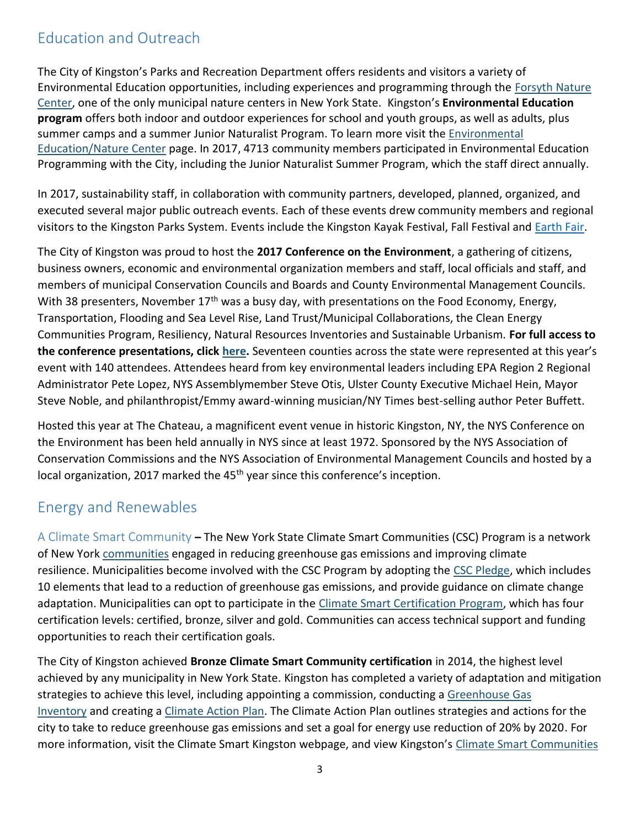## Education and Outreach

The City of Kingston's Parks and Recreation Department offers residents and visitors a variety of Environmental Education opportunities, including experiences and programming through the [Forsyth Nature](http://www.forsythnaturecenter.org/)  [Center,](http://www.forsythnaturecenter.org/) one of the only municipal nature centers in New York State. Kingston's **Environmental Education program** offers both indoor and outdoor experiences for school and youth groups, as well as adults, plus summer camps and a summer Junior Naturalist Program. To learn more visit the [Environmental](https://www.kingston-ny.gov/environment)  [Education/Nature Center](https://www.kingston-ny.gov/environment) page. In 2017, 4713 community members participated in Environmental Education Programming with the City, including the Junior Naturalist Summer Program, which the staff direct annually.

In 2017, sustainability staff, in collaboration with community partners, developed, planned, organized, and executed several major public outreach events. Each of these events drew community members and regional visitors to the Kingston Parks System. Events include the Kingston Kayak Festival, Fall Festival and [Earth Fair.](http://www.kingston-ny.gov/earthexpo)

The City of Kingston was proud to host the **2017 Conference on the Environment**, a gathering of citizens, business owners, economic and environmental organization members and staff, local officials and staff, and members of municipal Conservation Councils and Boards and County Environmental Management Councils. With 38 presenters, November 17<sup>th</sup> was a busy day, with presentations on the Food Economy, Energy, Transportation, Flooding and Sea Level Rise, Land Trust/Municipal Collaborations, the Clean Energy Communities Program, Resiliency, Natural Resources Inventories and Sustainable Urbanism. **For full access to the conference presentations, click [here.](http://www.nysaccny.org/2017-conference-on-the-environment)** Seventeen counties across the state were represented at this year's event with 140 attendees. Attendees heard from key environmental leaders including EPA Region 2 Regional Administrator Pete Lopez, NYS Assemblymember Steve Otis, Ulster County Executive Michael Hein, Mayor Steve Noble, and philanthropist/Emmy award-winning musician/NY Times best-selling author Peter Buffett.

Hosted this year at The Chateau, a magnificent event venue in historic Kingston, NY, the NYS Conference on the Environment has been held annually in NYS since at least 1972. Sponsored by the NYS Association of Conservation Commissions and the NYS Association of Environmental Management Councils and hosted by a local organization, 2017 marked the 45<sup>th</sup> year since this conference's inception.

### Energy and Renewables

A Climate Smart Community **–** The New York State Climate Smart Communities (CSC) Program is a network of New York [communities](http://www.dec.ny.gov/energy/56876.html) engaged in reducing greenhouse gas emissions and improving climate resilience. Municipalities become involved with the CSC Program by adopting the [CSC Pledge,](http://www.dec.ny.gov/energy/65494.html) which includes 10 elements that lead to a reduction of greenhouse gas emissions, and provide guidance on climate change adaptation. Municipalities can opt to participate in the *Climate Smart Certification Program*, which has four certification levels: certified, bronze, silver and gold. Communities can access technical support and funding opportunities to reach their certification goals.

The City of Kingston achieved **Bronze Climate Smart Community certification** in 2014, the highest level achieved by any municipality in New York State. Kingston has completed a variety of adaptation and mitigation strategies to achieve this level, including appointing a commission, conducting a [Greenhouse Gas](https://kingston-ny.gov/filestorage/8463/10432/10440/10458/Final_CAP_-_Community_Greenhouse_Gas_Inventory.pdf)  [Inventory](https://kingston-ny.gov/filestorage/8463/10432/10440/10458/Final_CAP_-_Community_Greenhouse_Gas_Inventory.pdf) and creating a [Climate Action Plan.](https://kingston-ny.gov/filestorage/8463/10432/10440/10458/CAP_-_Updated_for_PS_9-27-12_(1).pdf) The Climate Action Plan outlines strategies and actions for the city to take to reduce greenhouse gas emissions and set a goal for energy use reduction of 20% by 2020. For more information, visit the Climate Smart Kingston webpage, and view Kingston's [Climate Smart Communities](https://kingston-ny.gov/filestorage/8463/10432/10440/10458/City_of_Kingston_-_Climate_Smart_Community_Profile.pdf)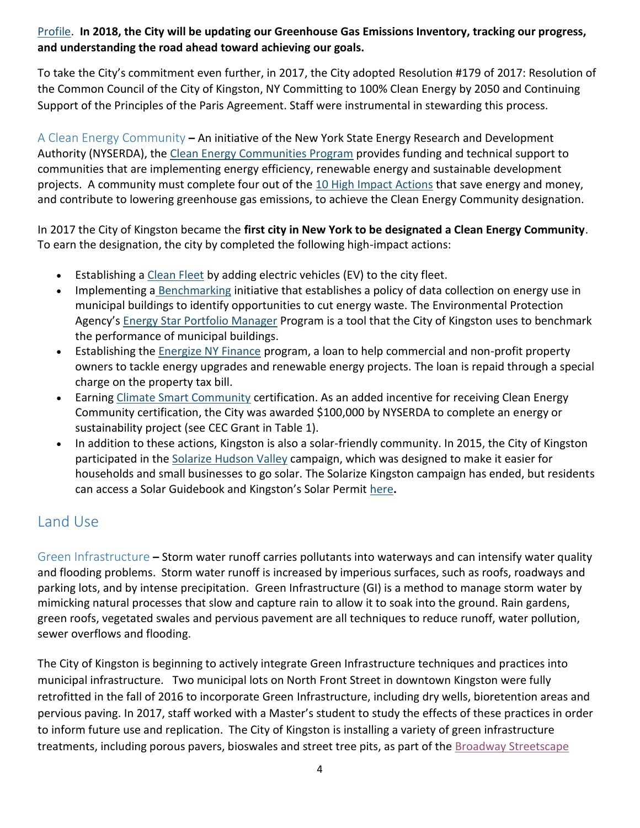#### [Profile.](https://kingston-ny.gov/filestorage/8463/10432/10440/10458/City_of_Kingston_-_Climate_Smart_Community_Profile.pdf) **In 2018, the City will be updating our Greenhouse Gas Emissions Inventory, tracking our progress, and understanding the road ahead toward achieving our goals.**

To take the City's commitment even further, in 2017, the City adopted Resolution #179 of 2017: Resolution of the Common Council of the City of Kingston, NY Committing to 100% Clean Energy by 2050 and Continuing Support of the Principles of the Paris Agreement. Staff were instrumental in stewarding this process.

A Clean Energy Community **–** An initiative of the New York State Energy Research and Development Authority (NYSERDA), the [Clean Energy Communities Program](https://www.nyserda.ny.gov/All-Programs/Programs/Clean-Energy-Communities) provides funding and technical support to communities that are implementing energy efficiency, renewable energy and sustainable development projects. A community must complete four out of the [10 High Impact Actions](https://www.nyserda.ny.gov/All-Programs/Programs/Clean-Energy-Communities/Action-Items) that save energy and money, and contribute to lowering greenhouse gas emissions, to achieve the Clean Energy Community designation.

In 2017 the City of Kingston became the **first city in New York to be designated a Clean Energy Community**. To earn the designation, the city by completed the following high-impact actions:

- Establishing a [Clean Fleet](https://www.nyserda.ny.gov/All-Programs/Programs/Clean-Energy-Communities/Clean-Energy-Communities-Program-High-Impact-Action-Toolkits/Clean-Fleets) by adding electric vehicles (EV) to the city fleet.
- Implementing a [Benchmarking](https://www.nyserda.ny.gov/All-Programs/Programs/Clean-Energy-Communities/Clean-Energy-Communities-Program-High-Impact-Action-Toolkits/Benchmarking) initiative that establishes a policy of data collection on energy use in municipal buildings to identify opportunities to cut energy waste. The Environmental Protection Agency's [Energy Star Portfolio Manager](https://www.energystar.gov/buildings/facility-owners-and-managers/existing-buildings/use-portfolio-manager) Program is a tool that the City of Kingston uses to benchmark the performance of municipal buildings.
- Establishing the [Energize NY Finance](https://www.nyserda.ny.gov/All-Programs/Programs/Clean-Energy-Communities/Clean-Energy-Communities-Program-High-Impact-Action-Toolkits/Energize-NY-Finance) program, a loan to help commercial and non-profit property owners to tackle energy upgrades and renewable energy projects. The loan is repaid through a special charge on the property tax bill.
- Earning [Climate Smart Community](http://www.dec.ny.gov/energy/50845.html) certification. As an added incentive for receiving Clean Energy Community certification, the City was awarded \$100,000 by NYSERDA to complete an energy or sustainability project (see CEC Grant in Table 1).
- In addition to these actions, Kingston is also a solar-friendly community. In 2015, the City of Kingston participated in the [Solarize Hudson Valley](http://solarize-hudsonvalley.org/) campaign, which was designed to make it easier for households and small businesses to go solar. The Solarize Kingston campaign has ended, but residents can access a Solar Guidebook and Kingston's Solar Permit [here](https://kingston-ny.gov/Solar)**.**

# Land Use

Green Infrastructure **–** Storm water runoff carries pollutants into waterways and can intensify water quality and flooding problems. Storm water runoff is increased by imperious surfaces, such as roofs, roadways and parking lots, and by intense precipitation. Green Infrastructure (GI) is a method to manage storm water by mimicking natural processes that slow and capture rain to allow it to soak into the ground. Rain gardens, green roofs, vegetated swales and pervious pavement are all techniques to reduce runoff, water pollution, sewer overflows and flooding.

The City of Kingston is beginning to actively integrate Green Infrastructure techniques and practices into municipal infrastructure. Two municipal lots on North Front Street in downtown Kingston were fully retrofitted in the fall of 2016 to incorporate Green Infrastructure, including dry wells, bioretention areas and pervious paving. In 2017, staff worked with a Master's student to study the effects of these practices in order to inform future use and replication. The City of Kingston is installing a variety of green infrastructure treatments, including porous pavers, bioswales and street tree pits, as part of the Broadway Streetscape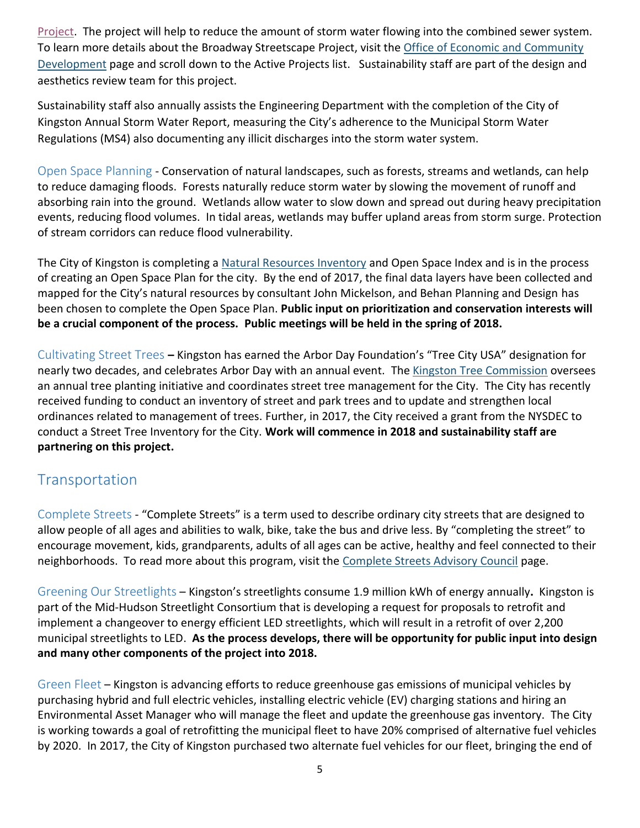[Project.](https://www.kingston-ny.gov/broadwaystreetscapeproject) The project will help to reduce the amount of storm water flowing into the combined sewer system. To learn more details about the Broadway Streetscape Project, visit the Office of Economic and Community [Development](https://www.kingston-ny.gov/content/8395/default.aspx) page and scroll down to the Active Projects list. Sustainability staff are part of the design and aesthetics review team for this project.

Sustainability staff also annually assists the Engineering Department with the completion of the City of Kingston Annual Storm Water Report, measuring the City's adherence to the Municipal Storm Water Regulations (MS4) also documenting any illicit discharges into the storm water system.

Open Space Planning - Conservation of natural landscapes, such as forests, streams and wetlands, can help to reduce damaging floods. Forests naturally reduce storm water by slowing the movement of runoff and absorbing rain into the ground. Wetlands allow water to slow down and spread out during heavy precipitation events, reducing flood volumes. In tidal areas, wetlands may buffer upland areas from storm surge. Protection of stream corridors can reduce flood vulnerability.

The City of Kingston is completing a [Natural Resources Inventory](https://www.kingston-ny.gov/nri) and Open Space Index and is in the process of creating an Open Space Plan for the city. By the end of 2017, the final data layers have been collected and mapped for the City's natural resources by consultant John Mickelson, and Behan Planning and Design has been chosen to complete the Open Space Plan. **Public input on prioritization and conservation interests will be a crucial component of the process. Public meetings will be held in the spring of 2018.** 

Cultivating Street Trees **–** Kingston has earned the Arbor Day Foundation's "Tree City USA" designation for nearly two decades, and celebrates Arbor Day with an annual event. The [Kingston Tree Commission](https://www.kingston-ny.gov/content/8399/8491/8505/default.aspx) oversees an annual tree planting initiative and coordinates street tree management for the City. The City has recently received funding to conduct an inventory of street and park trees and to update and strengthen local ordinances related to management of trees. Further, in 2017, the City received a grant from the NYSDEC to conduct a Street Tree Inventory for the City. **Work will commence in 2018 and sustainability staff are partnering on this project.**

## **Transportation**

Complete Streets - "Complete Streets" is a term used to describe ordinary city streets that are designed to allow people of all ages and abilities to walk, bike, take the bus and drive less. By "completing the street" to encourage movement, kids, grandparents, adults of all ages can be active, healthy and feel connected to their neighborhoods. To read more about this program, visit the [Complete Streets Advisory Council](https://kingston-ny.gov/CompleteStreetsAdvisoryCouncil) page.

Greening Our Streetlights – Kingston's streetlights consume 1.9 million kWh of energy annually**.** Kingston is part of the Mid-Hudson Streetlight Consortium that is developing a request for proposals to retrofit and implement a changeover to energy efficient LED streetlights, which will result in a retrofit of over 2,200 municipal streetlights to LED. **As the process develops, there will be opportunity for public input into design and many other components of the project into 2018.**

Green Fleet – Kingston is advancing efforts to reduce greenhouse gas emissions of municipal vehicles by purchasing hybrid and full electric vehicles, installing electric vehicle (EV) charging stations and hiring an Environmental Asset Manager who will manage the fleet and update the greenhouse gas inventory. The City is working towards a goal of retrofitting the municipal fleet to have 20% comprised of alternative fuel vehicles by 2020. In 2017, the City of Kingston purchased two alternate fuel vehicles for our fleet, bringing the end of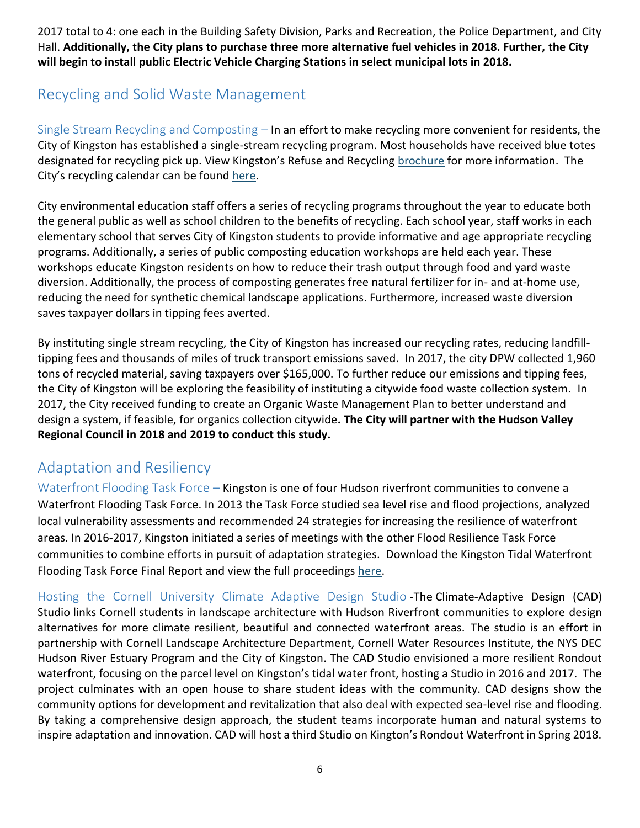2017 total to 4: one each in the Building Safety Division, Parks and Recreation, the Police Department, and City Hall. **Additionally, the City plans to purchase three more alternative fuel vehicles in 2018. Further, the City will begin to install public Electric Vehicle Charging Stations in select municipal lots in 2018.**

## Recycling and Solid Waste Management

Single Stream Recycling and Composting – In an effort to make recycling more convenient for residents, the City of Kingston has established a single-stream recycling program. Most households have received blue totes designated for recycling pick up. View Kingston's Refuse and Recycling [brochure](https://kingston-ny.gov/filestorage/8463/8511/10413/DPWBrochure_2016_website.pdf) for more information. The City's recycling calendar can be found [here.](https://kingston-ny.gov/filestorage/8463/8511/10413/2017_Calendar.pdf)

City environmental education staff offers a series of recycling programs throughout the year to educate both the general public as well as school children to the benefits of recycling. Each school year, staff works in each elementary school that serves City of Kingston students to provide informative and age appropriate recycling programs. Additionally, a series of public composting education workshops are held each year. These workshops educate Kingston residents on how to reduce their trash output through food and yard waste diversion. Additionally, the process of composting generates free natural fertilizer for in- and at-home use, reducing the need for synthetic chemical landscape applications. Furthermore, increased waste diversion saves taxpayer dollars in tipping fees averted.

By instituting single stream recycling, the City of Kingston has increased our recycling rates, reducing landfilltipping fees and thousands of miles of truck transport emissions saved. In 2017, the city DPW collected 1,960 tons of recycled material, saving taxpayers over \$165,000. To further reduce our emissions and tipping fees, the City of Kingston will be exploring the feasibility of instituting a citywide food waste collection system. In 2017, the City received funding to create an Organic Waste Management Plan to better understand and design a system, if feasible, for organics collection citywide**. The City will partner with the Hudson Valley Regional Council in 2018 and 2019 to conduct this study.**

### Adaptation and Resiliency

Waterfront Flooding Task Force – Kingston is one of four Hudson riverfront communities to convene a Waterfront Flooding Task Force. In 2013 the Task Force studied sea level rise and flood projections, analyzed local vulnerability assessments and recommended 24 strategies for increasing the resilience of waterfront areas. In 2016-2017, Kingston initiated a series of meetings with the other Flood Resilience Task Force communities to combine efforts in pursuit of adaptation strategies. Download the Kingston Tidal Waterfront Flooding Task Force Final Report and view the full proceedings [here.](https://www.kingston-ny.gov/waterfrontfloodingtaskforce)

Hosting the Cornell University Climate Adaptive Design Studio **-**The [Climate-Adaptive Design \(CAD\)](https://wri.cals.cornell.edu/hudson-river-estuary/climate-change-hudson-river-estuary/climate-adaptive-design)  [Studio](https://wri.cals.cornell.edu/hudson-river-estuary/climate-change-hudson-river-estuary/climate-adaptive-design) links Cornell students in landscape architecture with Hudson Riverfront communities to explore design alternatives for more climate resilient, beautiful and connected waterfront areas. The studio is an effort in partnership with Cornell Landscape Architecture Department, Cornell Water Resources Institute, the NYS DEC Hudson River Estuary Program and the City of Kingston. The CAD Studio envisioned a more resilient Rondout waterfront, focusing on the parcel level on Kingston's tidal water front, hosting a Studio in 2016 and 2017. The project culminates with an open house to share student ideas with the community. CAD designs show the community options for development and revitalization that also deal with expected sea-level rise and flooding. By taking a comprehensive design approach, the student teams incorporate human and natural systems to inspire adaptation and innovation. CAD will host a third Studio on Kington's Rondout Waterfront in Spring 2018.